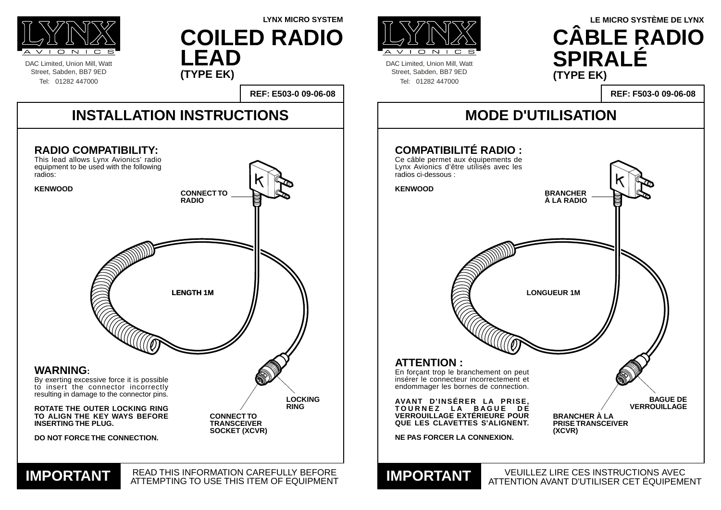DAC Limited, Union Mill, Watt Street, Sabden, BB7 9ED Tel: 01282 447000



DAC Limited, Union Mill, Watt Street, Sabden, BB7 9ED Tel: 01282 447000



**REF: F503-0 09-06-08**

### **ILISATION**

| <b>MODE D'UTI</b>                                                                                                                               |        |
|-------------------------------------------------------------------------------------------------------------------------------------------------|--------|
| <b>COMPATIBILITÉ RADIO :</b><br>Ce câble permet aux équipements de<br>Lynx Avionics d'être utilisés avec les<br>radios ci-dessous :             |        |
| <b>KENWOOD</b>                                                                                                                                  | E<br>À |
|                                                                                                                                                 |        |
|                                                                                                                                                 |        |
|                                                                                                                                                 |        |
| <b>LONG</b>                                                                                                                                     |        |
|                                                                                                                                                 |        |
|                                                                                                                                                 |        |
| <b>ATTENTION :</b><br>En forçant trop le branchement on peut<br>inserer le connecteur incorrectement et<br>endommager les bornes de connection. |        |
| AVANT D'INSÉRER LA PRISE,<br>TOURNEZ LA BAGUE DE<br><b>VERROUILLAGE EXTÉRIEURE POUR</b><br>QUE LES CLAVETTES S'ALIGNENT.                        |        |
| <b>NE PAS FORCER LA CONNEXION.</b>                                                                                                              |        |
| <b>VEUILLEZ</b><br><b>IMPORTANT VEUILLEZ</b>                                                                                                    |        |

#### **LYNX MICRO SYSTEM LE MICRO SYSTÈME DE LYNX CÂBLE RADIO SPIRALÉ (TYPE EK)**



LIRE CES INSTRUCTIONS AVEC ATTENTION AVANT D'UTILISER CET ÉQUIPEMENT

**COILED RADIO LEAD (TYPE EK)**